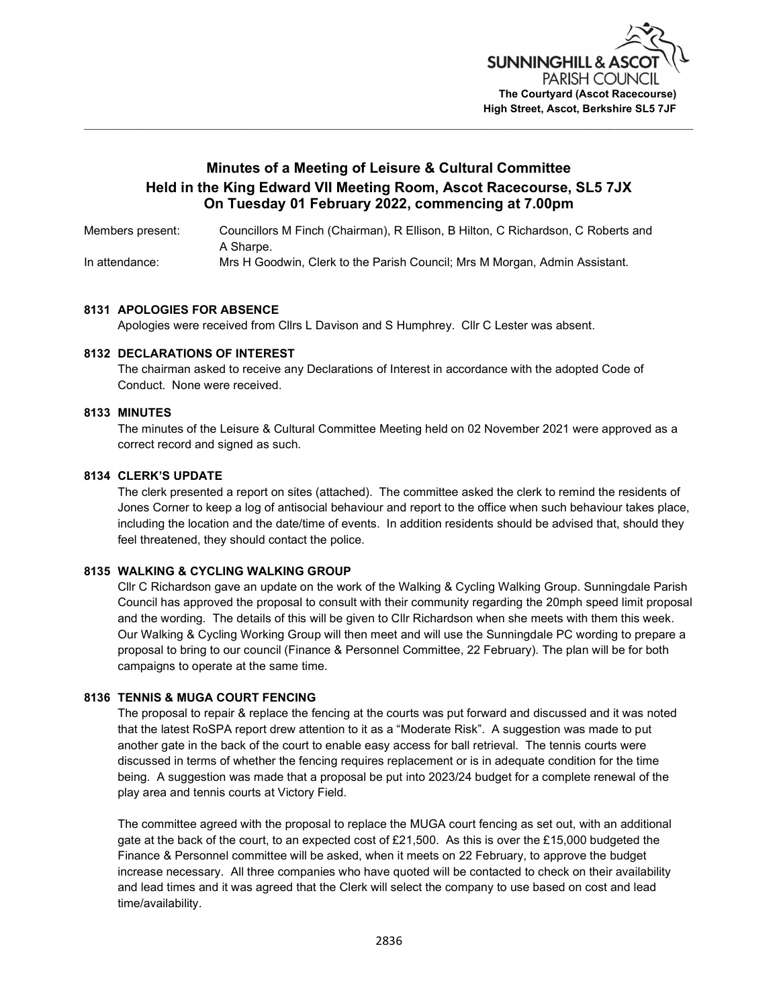

# Minutes of a Meeting of Leisure & Cultural Committee Held in the King Edward VII Meeting Room, Ascot Racecourse, SL5 7JX On Tuesday 01 February 2022, commencing at 7.00pm

Members present: Councillors M Finch (Chairman), R Ellison, B Hilton, C Richardson, C Roberts and A Sharpe. In attendance: Mrs H Goodwin, Clerk to the Parish Council; Mrs M Morgan, Admin Assistant.

#### 8131 APOLOGIES FOR ABSENCE

Apologies were received from Cllrs L Davison and S Humphrey. Cllr C Lester was absent.

#### 8132 DECLARATIONS OF INTEREST

 The chairman asked to receive any Declarations of Interest in accordance with the adopted Code of Conduct. None were received.

#### 8133 MINUTES

 The minutes of the Leisure & Cultural Committee Meeting held on 02 November 2021 were approved as a correct record and signed as such.

#### 8134 CLERK'S UPDATE

The clerk presented a report on sites (attached). The committee asked the clerk to remind the residents of Jones Corner to keep a log of antisocial behaviour and report to the office when such behaviour takes place, including the location and the date/time of events. In addition residents should be advised that, should they feel threatened, they should contact the police.

### 8135 WALKING & CYCLING WALKING GROUP

Cllr C Richardson gave an update on the work of the Walking & Cycling Walking Group. Sunningdale Parish Council has approved the proposal to consult with their community regarding the 20mph speed limit proposal and the wording. The details of this will be given to Cllr Richardson when she meets with them this week. Our Walking & Cycling Working Group will then meet and will use the Sunningdale PC wording to prepare a proposal to bring to our council (Finance & Personnel Committee, 22 February). The plan will be for both campaigns to operate at the same time.

#### 8136 TENNIS & MUGA COURT FENCING

The proposal to repair & replace the fencing at the courts was put forward and discussed and it was noted that the latest RoSPA report drew attention to it as a "Moderate Risk". A suggestion was made to put another gate in the back of the court to enable easy access for ball retrieval. The tennis courts were discussed in terms of whether the fencing requires replacement or is in adequate condition for the time being. A suggestion was made that a proposal be put into 2023/24 budget for a complete renewal of the play area and tennis courts at Victory Field.

 The committee agreed with the proposal to replace the MUGA court fencing as set out, with an additional gate at the back of the court, to an expected cost of £21,500. As this is over the £15,000 budgeted the Finance & Personnel committee will be asked, when it meets on 22 February, to approve the budget increase necessary. All three companies who have quoted will be contacted to check on their availability and lead times and it was agreed that the Clerk will select the company to use based on cost and lead time/availability.